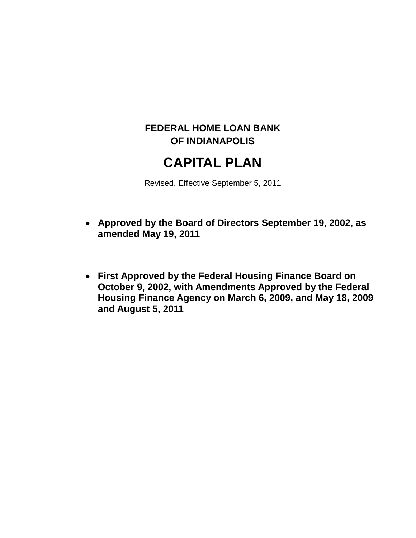## **FEDERAL HOME LOAN BANK OF INDIANAPOLIS**

# **CAPITAL PLAN**

Revised, Effective September 5, 2011

- **Approved by the Board of Directors September 19, 2002, as amended May 19, 2011**
- **First Approved by the Federal Housing Finance Board on October 9, 2002, with Amendments Approved by the Federal Housing Finance Agency on March 6, 2009, and May 18, 2009 and August 5, 2011**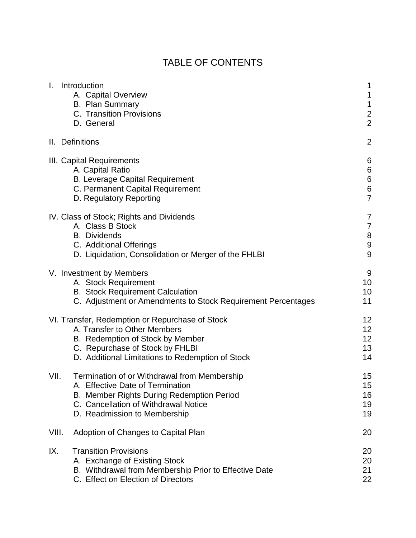# TABLE OF CONTENTS

| T.    | Introduction<br>A. Capital Overview<br><b>B. Plan Summary</b><br>C. Transition Provisions<br>D. General                                                                                                    | 1<br>1<br>$\mathbf 1$<br>$\mathbf 2$<br>$\overline{2}$          |
|-------|------------------------------------------------------------------------------------------------------------------------------------------------------------------------------------------------------------|-----------------------------------------------------------------|
|       | II. Definitions                                                                                                                                                                                            | $\overline{2}$                                                  |
|       | III. Capital Requirements<br>A. Capital Ratio<br><b>B. Leverage Capital Requirement</b><br>C. Permanent Capital Requirement<br>D. Regulatory Reporting                                                     | 6<br>$\,6$<br>$\boldsymbol{6}$<br>$\,$ 6 $\,$<br>$\overline{7}$ |
|       | IV. Class of Stock; Rights and Dividends<br>A. Class B Stock<br><b>B.</b> Dividends<br>C. Additional Offerings<br>D. Liquidation, Consolidation or Merger of the FHLBI                                     | 7<br>$\overline{7}$<br>$\bf 8$<br>$\boldsymbol{9}$<br>9         |
|       | V. Investment by Members<br>A. Stock Requirement<br><b>B.</b> Stock Requirement Calculation<br>C. Adjustment or Amendments to Stock Requirement Percentages                                                | 9<br>10<br>10<br>11                                             |
|       | VI. Transfer, Redemption or Repurchase of Stock<br>A. Transfer to Other Members<br>B. Redemption of Stock by Member<br>C. Repurchase of Stock by FHLBI<br>D. Additional Limitations to Redemption of Stock | 12<br>12<br>12<br>13<br>14                                      |
| VII.  | Termination of or Withdrawal from Membership<br>A. Effective Date of Termination<br>B. Member Rights During Redemption Period<br>C. Cancellation of Withdrawal Notice<br>D. Readmission to Membership      | 15<br>15<br>16<br>19<br>19                                      |
| VIII. | Adoption of Changes to Capital Plan                                                                                                                                                                        | 20                                                              |
| IX.   | <b>Transition Provisions</b><br>A. Exchange of Existing Stock<br>B. Withdrawal from Membership Prior to Effective Date<br>C. Effect on Election of Directors                                               | 20<br>20<br>21<br>22                                            |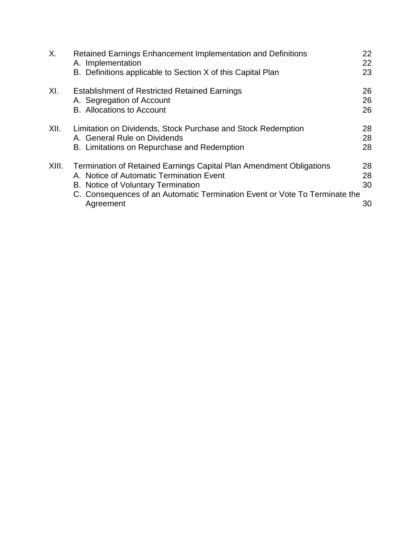| Х.    | Retained Earnings Enhancement Implementation and Definitions<br>A. Implementation<br>B. Definitions applicable to Section X of this Capital Plan                                                                                                        | <b>22</b><br>22<br>23 |
|-------|---------------------------------------------------------------------------------------------------------------------------------------------------------------------------------------------------------------------------------------------------------|-----------------------|
| XI.   | <b>Establishment of Restricted Retained Earnings</b><br>A. Segregation of Account<br><b>B.</b> Allocations to Account                                                                                                                                   | 26<br>26<br>26        |
| XII.  | Limitation on Dividends, Stock Purchase and Stock Redemption<br>A. General Rule on Dividends<br>B. Limitations on Repurchase and Redemption                                                                                                             | 28<br>28<br>28        |
| XIII. | <b>Termination of Retained Earnings Capital Plan Amendment Obligations</b><br>A. Notice of Automatic Termination Event<br>B. Notice of Voluntary Termination<br>C. Consequences of an Automatic Termination Event or Vote To Terminate the<br>Agreement | 28<br>28<br>30<br>30  |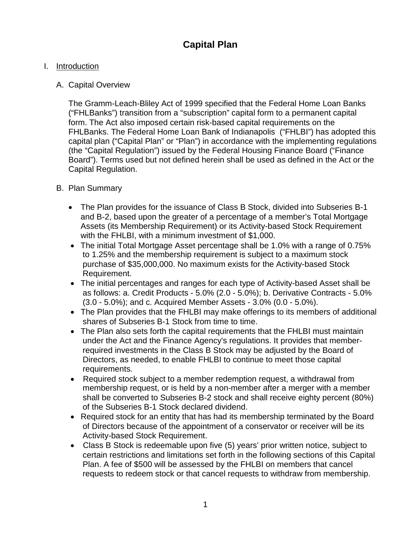### **Capital Plan**

#### I. Introduction

#### A. Capital Overview

The Gramm-Leach-Bliley Act of 1999 specified that the Federal Home Loan Banks ("FHLBanks") transition from a "subscription" capital form to a permanent capital form. The Act also imposed certain risk-based capital requirements on the FHLBanks. The Federal Home Loan Bank of Indianapolis ("FHLBI") has adopted this capital plan ("Capital Plan" or "Plan") in accordance with the implementing regulations (the "Capital Regulation") issued by the Federal Housing Finance Board ("Finance Board"). Terms used but not defined herein shall be used as defined in the Act or the Capital Regulation.

#### B. Plan Summary

- The Plan provides for the issuance of Class B Stock, divided into Subseries B-1 and B-2, based upon the greater of a percentage of a member's Total Mortgage Assets (its Membership Requirement) or its Activity-based Stock Requirement with the FHLBI, with a minimum investment of \$1,000.
- The initial Total Mortgage Asset percentage shall be 1.0% with a range of 0.75% to 1.25% and the membership requirement is subject to a maximum stock purchase of \$35,000,000. No maximum exists for the Activity-based Stock Requirement.
- The initial percentages and ranges for each type of Activity-based Asset shall be as follows: a. Credit Products - 5.0% (2.0 - 5.0%); b. Derivative Contracts - 5.0% (3.0 - 5.0%); and c. Acquired Member Assets - 3.0% (0.0 - 5.0%).
- The Plan provides that the FHLBI may make offerings to its members of additional shares of Subseries B-1 Stock from time to time.
- The Plan also sets forth the capital requirements that the FHLBI must maintain under the Act and the Finance Agency's regulations. It provides that memberrequired investments in the Class B Stock may be adjusted by the Board of Directors, as needed, to enable FHLBI to continue to meet those capital requirements.
- Required stock subject to a member redemption request, a withdrawal from membership request, or is held by a non-member after a merger with a member shall be converted to Subseries B-2 stock and shall receive eighty percent (80%) of the Subseries B-1 Stock declared dividend.
- Required stock for an entity that has had its membership terminated by the Board of Directors because of the appointment of a conservator or receiver will be its Activity-based Stock Requirement.
- Class B Stock is redeemable upon five (5) years' prior written notice, subject to certain restrictions and limitations set forth in the following sections of this Capital Plan. A fee of \$500 will be assessed by the FHLBI on members that cancel requests to redeem stock or that cancel requests to withdraw from membership.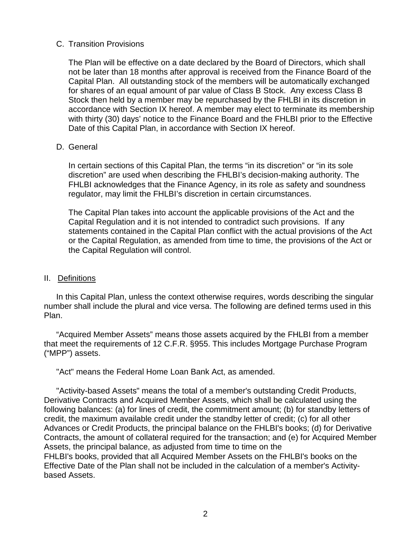#### C. Transition Provisions

The Plan will be effective on a date declared by the Board of Directors, which shall not be later than 18 months after approval is received from the Finance Board of the Capital Plan. All outstanding stock of the members will be automatically exchanged for shares of an equal amount of par value of Class B Stock. Any excess Class B Stock then held by a member may be repurchased by the FHLBI in its discretion in accordance with Section IX hereof. A member may elect to terminate its membership with thirty (30) days' notice to the Finance Board and the FHLBI prior to the Effective Date of this Capital Plan, in accordance with Section IX hereof.

#### D. General

In certain sections of this Capital Plan, the terms "in its discretion" or "in its sole discretion" are used when describing the FHLBI's decision-making authority. The FHLBI acknowledges that the Finance Agency, in its role as safety and soundness regulator, may limit the FHLBI's discretion in certain circumstances.

The Capital Plan takes into account the applicable provisions of the Act and the Capital Regulation and it is not intended to contradict such provisions. If any statements contained in the Capital Plan conflict with the actual provisions of the Act or the Capital Regulation, as amended from time to time, the provisions of the Act or the Capital Regulation will control.

#### II. Definitions

In this Capital Plan, unless the context otherwise requires, words describing the singular number shall include the plural and vice versa. The following are defined terms used in this Plan.

"Acquired Member Assets" means those assets acquired by the FHLBI from a member that meet the requirements of 12 C.F.R. §955. This includes Mortgage Purchase Program ("MPP") assets.

"Act" means the Federal Home Loan Bank Act, as amended.

"Activity-based Assets" means the total of a member's outstanding Credit Products, Derivative Contracts and Acquired Member Assets, which shall be calculated using the following balances: (a) for lines of credit, the commitment amount; (b) for standby letters of credit, the maximum available credit under the standby letter of credit; (c) for all other Advances or Credit Products, the principal balance on the FHLBI's books; (d) for Derivative Contracts, the amount of collateral required for the transaction; and (e) for Acquired Member Assets, the principal balance, as adjusted from time to time on the FHLBI's books, provided that all Acquired Member Assets on the FHLBI's books on the Effective Date of the Plan shall not be included in the calculation of a member's Activity-

based Assets.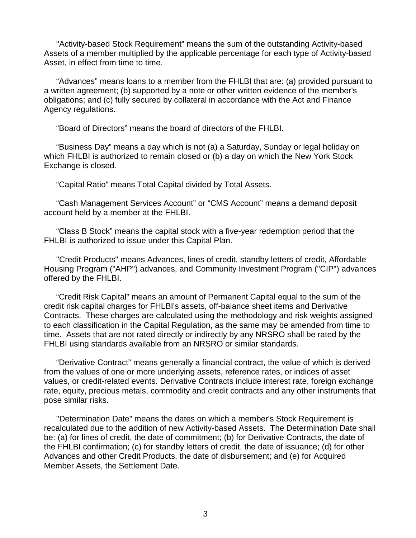"Activity-based Stock Requirement" means the sum of the outstanding Activity-based Assets of a member multiplied by the applicable percentage for each type of Activity-based Asset, in effect from time to time.

"Advances" means loans to a member from the FHLBI that are: (a) provided pursuant to a written agreement; (b) supported by a note or other written evidence of the member's obligations; and (c) fully secured by collateral in accordance with the Act and Finance Agency regulations.

"Board of Directors" means the board of directors of the FHLBI.

"Business Day" means a day which is not (a) a Saturday, Sunday or legal holiday on which FHLBI is authorized to remain closed or (b) a day on which the New York Stock Exchange is closed.

"Capital Ratio" means Total Capital divided by Total Assets.

"Cash Management Services Account" or "CMS Account" means a demand deposit account held by a member at the FHLBI.

"Class B Stock" means the capital stock with a five-year redemption period that the FHLBI is authorized to issue under this Capital Plan.

"Credit Products" means Advances, lines of credit, standby letters of credit, Affordable Housing Program ("AHP") advances, and Community Investment Program ("CIP") advances offered by the FHLBI.

"Credit Risk Capital" means an amount of Permanent Capital equal to the sum of the credit risk capital charges for FHLBI's assets, off-balance sheet items and Derivative Contracts. These charges are calculated using the methodology and risk weights assigned to each classification in the Capital Regulation, as the same may be amended from time to time. Assets that are not rated directly or indirectly by any NRSRO shall be rated by the FHLBI using standards available from an NRSRO or similar standards.

"Derivative Contract" means generally a financial contract, the value of which is derived from the values of one or more underlying assets, reference rates, or indices of asset values, or credit-related events. Derivative Contracts include interest rate, foreign exchange rate, equity, precious metals, commodity and credit contracts and any other instruments that pose similar risks.

"Determination Date" means the dates on which a member's Stock Requirement is recalculated due to the addition of new Activity-based Assets. The Determination Date shall be: (a) for lines of credit, the date of commitment; (b) for Derivative Contracts, the date of the FHLBI confirmation; (c) for standby letters of credit, the date of issuance; (d) for other Advances and other Credit Products, the date of disbursement; and (e) for Acquired Member Assets, the Settlement Date.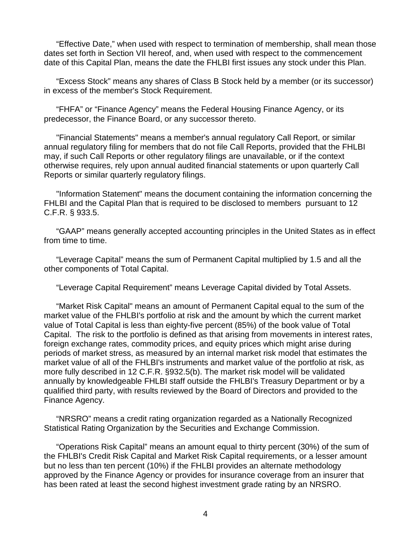"Effective Date," when used with respect to termination of membership, shall mean those dates set forth in Section VII hereof, and, when used with respect to the commencement date of this Capital Plan, means the date the FHLBI first issues any stock under this Plan.

"Excess Stock" means any shares of Class B Stock held by a member (or its successor) in excess of the member's Stock Requirement.

"FHFA" or "Finance Agency" means the Federal Housing Finance Agency, or its predecessor, the Finance Board, or any successor thereto.

"Financial Statements" means a member's annual regulatory Call Report, or similar annual regulatory filing for members that do not file Call Reports, provided that the FHLBI may, if such Call Reports or other regulatory filings are unavailable, or if the context otherwise requires, rely upon annual audited financial statements or upon quarterly Call Reports or similar quarterly regulatory filings.

"Information Statement" means the document containing the information concerning the FHLBI and the Capital Plan that is required to be disclosed to members pursuant to 12 C.F.R. § 933.5.

"GAAP" means generally accepted accounting principles in the United States as in effect from time to time.

"Leverage Capital" means the sum of Permanent Capital multiplied by 1.5 and all the other components of Total Capital.

"Leverage Capital Requirement" means Leverage Capital divided by Total Assets.

"Market Risk Capital" means an amount of Permanent Capital equal to the sum of the market value of the FHLBI's portfolio at risk and the amount by which the current market value of Total Capital is less than eighty-five percent (85%) of the book value of Total Capital. The risk to the portfolio is defined as that arising from movements in interest rates, foreign exchange rates, commodity prices, and equity prices which might arise during periods of market stress, as measured by an internal market risk model that estimates the market value of all of the FHLBI's instruments and market value of the portfolio at risk, as more fully described in 12 C.F.R. §932.5(b). The market risk model will be validated annually by knowledgeable FHLBI staff outside the FHLBI's Treasury Department or by a qualified third party, with results reviewed by the Board of Directors and provided to the Finance Agency.

"NRSRO" means a credit rating organization regarded as a Nationally Recognized Statistical Rating Organization by the Securities and Exchange Commission.

"Operations Risk Capital" means an amount equal to thirty percent (30%) of the sum of the FHLBI's Credit Risk Capital and Market Risk Capital requirements, or a lesser amount but no less than ten percent (10%) if the FHLBI provides an alternate methodology approved by the Finance Agency or provides for insurance coverage from an insurer that has been rated at least the second highest investment grade rating by an NRSRO.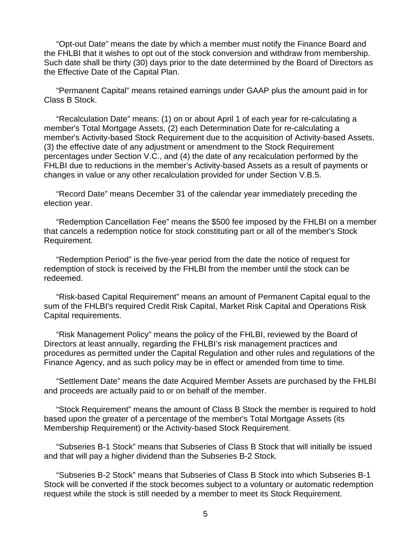"Opt-out Date" means the date by which a member must notify the Finance Board and the FHLBI that it wishes to opt out of the stock conversion and withdraw from membership. Such date shall be thirty (30) days prior to the date determined by the Board of Directors as the Effective Date of the Capital Plan.

"Permanent Capital" means retained earnings under GAAP plus the amount paid in for Class B Stock.

"Recalculation Date" means: (1) on or about April 1 of each year for re-calculating a member's Total Mortgage Assets, (2) each Determination Date for re-calculating a member's Activity-based Stock Requirement due to the acquisition of Activity-based Assets, (3) the effective date of any adjustment or amendment to the Stock Requirement percentages under Section V.C., and (4) the date of any recalculation performed by the FHLBI due to reductions in the member's Activity-based Assets as a result of payments or changes in value or any other recalculation provided for under Section V.B.5.

"Record Date" means December 31 of the calendar year immediately preceding the election year.

"Redemption Cancellation Fee" means the \$500 fee imposed by the FHLBI on a member that cancels a redemption notice for stock constituting part or all of the member's Stock Requirement.

"Redemption Period" is the five-year period from the date the notice of request for redemption of stock is received by the FHLBI from the member until the stock can be redeemed.

"Risk-based Capital Requirement" means an amount of Permanent Capital equal to the sum of the FHLBI's required Credit Risk Capital, Market Risk Capital and Operations Risk Capital requirements.

"Risk Management Policy" means the policy of the FHLBI, reviewed by the Board of Directors at least annually, regarding the FHLBI's risk management practices and procedures as permitted under the Capital Regulation and other rules and regulations of the Finance Agency, and as such policy may be in effect or amended from time to time.

"Settlement Date" means the date Acquired Member Assets are purchased by the FHLBI and proceeds are actually paid to or on behalf of the member.

"Stock Requirement" means the amount of Class B Stock the member is required to hold based upon the greater of a percentage of the member's Total Mortgage Assets (its Membership Requirement) or the Activity-based Stock Requirement.

"Subseries B-1 Stock" means that Subseries of Class B Stock that will initially be issued and that will pay a higher dividend than the Subseries B-2 Stock.

"Subseries B-2 Stock" means that Subseries of Class B Stock into which Subseries B-1 Stock will be converted if the stock becomes subject to a voluntary or automatic redemption request while the stock is still needed by a member to meet its Stock Requirement.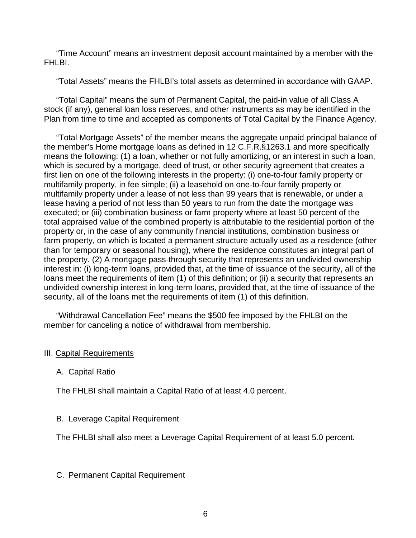"Time Account" means an investment deposit account maintained by a member with the FHI BI.

"Total Assets" means the FHLBI's total assets as determined in accordance with GAAP.

"Total Capital" means the sum of Permanent Capital, the paid-in value of all Class A stock (if any), general loan loss reserves, and other instruments as may be identified in the Plan from time to time and accepted as components of Total Capital by the Finance Agency.

"Total Mortgage Assets" of the member means the aggregate unpaid principal balance of the member's Home mortgage loans as defined in 12 C.F.R.§1263.1 and more specifically means the following: (1) a loan, whether or not fully amortizing, or an interest in such a loan, which is secured by a mortgage, deed of trust, or other security agreement that creates a first lien on one of the following interests in the property: (i) one-to-four family property or multifamily property, in fee simple; (ii) a leasehold on one-to-four family property or multifamily property under a lease of not less than 99 years that is renewable, or under a lease having a period of not less than 50 years to run from the date the mortgage was executed; or (iii) combination business or farm property where at least 50 percent of the total appraised value of the combined property is attributable to the residential portion of the property or, in the case of any community financial institutions, combination business or farm property, on which is located a permanent structure actually used as a residence (other than for temporary or seasonal housing), where the residence constitutes an integral part of the property. (2) A mortgage pass-through security that represents an undivided ownership interest in: (i) long-term loans, provided that, at the time of issuance of the security, all of the loans meet the requirements of item (1) of this definition; or (ii) a security that represents an undivided ownership interest in long-term loans, provided that, at the time of issuance of the security, all of the loans met the requirements of item (1) of this definition.

"Withdrawal Cancellation Fee" means the \$500 fee imposed by the FHLBI on the member for canceling a notice of withdrawal from membership.

#### III. Capital Requirements

A. Capital Ratio

The FHLBI shall maintain a Capital Ratio of at least 4.0 percent.

#### B. Leverage Capital Requirement

The FHLBI shall also meet a Leverage Capital Requirement of at least 5.0 percent.

#### C. Permanent Capital Requirement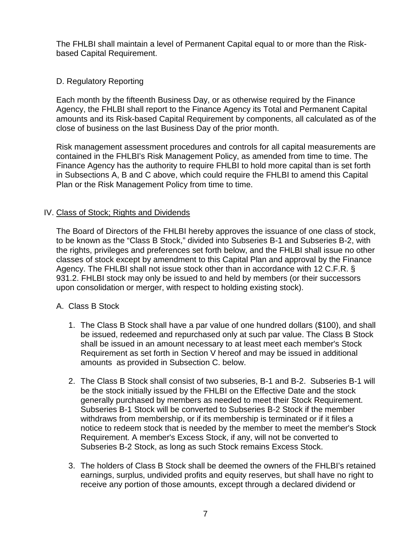The FHLBI shall maintain a level of Permanent Capital equal to or more than the Riskbased Capital Requirement.

#### D. Regulatory Reporting

Each month by the fifteenth Business Day, or as otherwise required by the Finance Agency, the FHLBI shall report to the Finance Agency its Total and Permanent Capital amounts and its Risk-based Capital Requirement by components, all calculated as of the close of business on the last Business Day of the prior month.

Risk management assessment procedures and controls for all capital measurements are contained in the FHLBI's Risk Management Policy, as amended from time to time. The Finance Agency has the authority to require FHLBI to hold more capital than is set forth in Subsections A, B and C above, which could require the FHLBI to amend this Capital Plan or the Risk Management Policy from time to time.

#### IV. Class of Stock; Rights and Dividends

The Board of Directors of the FHLBI hereby approves the issuance of one class of stock, to be known as the "Class B Stock," divided into Subseries B-1 and Subseries B-2, with the rights, privileges and preferences set forth below, and the FHLBI shall issue no other classes of stock except by amendment to this Capital Plan and approval by the Finance Agency. The FHLBI shall not issue stock other than in accordance with 12 C.F.R. § 931.2. FHLBI stock may only be issued to and held by members (or their successors upon consolidation or merger, with respect to holding existing stock).

#### A. Class B Stock

- 1. The Class B Stock shall have a par value of one hundred dollars (\$100), and shall be issued, redeemed and repurchased only at such par value. The Class B Stock shall be issued in an amount necessary to at least meet each member's Stock Requirement as set forth in Section V hereof and may be issued in additional amounts as provided in Subsection C. below.
- 2. The Class B Stock shall consist of two subseries, B-1 and B-2. Subseries B-1 will be the stock initially issued by the FHLBI on the Effective Date and the stock generally purchased by members as needed to meet their Stock Requirement. Subseries B-1 Stock will be converted to Subseries B-2 Stock if the member withdraws from membership, or if its membership is terminated or if it files a notice to redeem stock that is needed by the member to meet the member's Stock Requirement. A member's Excess Stock, if any, will not be converted to Subseries B-2 Stock, as long as such Stock remains Excess Stock.
- 3. The holders of Class B Stock shall be deemed the owners of the FHLBI's retained earnings, surplus, undivided profits and equity reserves, but shall have no right to receive any portion of those amounts, except through a declared dividend or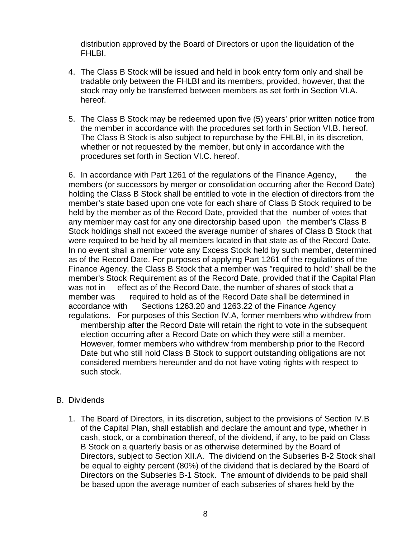distribution approved by the Board of Directors or upon the liquidation of the FHLBI.

- 4. The Class B Stock will be issued and held in book entry form only and shall be tradable only between the FHLBI and its members, provided, however, that the stock may only be transferred between members as set forth in Section VI.A. hereof.
- 5. The Class B Stock may be redeemed upon five (5) years' prior written notice from the member in accordance with the procedures set forth in Section VI.B. hereof. The Class B Stock is also subject to repurchase by the FHLBI, in its discretion, whether or not requested by the member, but only in accordance with the procedures set forth in Section VI.C. hereof.

6. In accordance with Part 1261 of the regulations of the Finance Agency, the members (or successors by merger or consolidation occurring after the Record Date) holding the Class B Stock shall be entitled to vote in the election of directors from the member's state based upon one vote for each share of Class B Stock required to be held by the member as of the Record Date, provided that the number of votes that any member may cast for any one directorship based upon the member's Class B Stock holdings shall not exceed the average number of shares of Class B Stock that were required to be held by all members located in that state as of the Record Date. In no event shall a member vote any Excess Stock held by such member, determined as of the Record Date. For purposes of applying Part 1261 of the regulations of the Finance Agency, the Class B Stock that a member was "required to hold" shall be the member's Stock Requirement as of the Record Date, provided that if the Capital Plan was not in effect as of the Record Date, the number of shares of stock that a member was required to hold as of the Record Date shall be determined in accordance with Sections 1263.20 and 1263.22 of the Finance Agency regulations. For purposes of this Section IV.A, former members who withdrew from membership after the Record Date will retain the right to vote in the subsequent election occurring after a Record Date on which they were still a member. However, former members who withdrew from membership prior to the Record Date but who still hold Class B Stock to support outstanding obligations are not considered members hereunder and do not have voting rights with respect to such stock.

#### B. Dividends

1. The Board of Directors, in its discretion, subject to the provisions of Section IV.B of the Capital Plan, shall establish and declare the amount and type, whether in cash, stock, or a combination thereof, of the dividend, if any, to be paid on Class B Stock on a quarterly basis or as otherwise determined by the Board of Directors, subject to Section XII.A. The dividend on the Subseries B-2 Stock shall be equal to eighty percent (80%) of the dividend that is declared by the Board of Directors on the Subseries B-1 Stock. The amount of dividends to be paid shall be based upon the average number of each subseries of shares held by the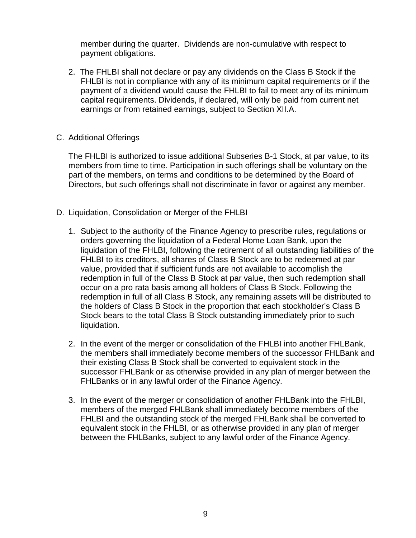member during the quarter. Dividends are non-cumulative with respect to payment obligations.

2. The FHLBI shall not declare or pay any dividends on the Class B Stock if the FHLBI is not in compliance with any of its minimum capital requirements or if the payment of a dividend would cause the FHLBI to fail to meet any of its minimum capital requirements. Dividends, if declared, will only be paid from current net earnings or from retained earnings, subject to Section XII.A.

#### C. Additional Offerings

The FHLBI is authorized to issue additional Subseries B-1 Stock, at par value, to its members from time to time. Participation in such offerings shall be voluntary on the part of the members, on terms and conditions to be determined by the Board of Directors, but such offerings shall not discriminate in favor or against any member.

- D. Liquidation, Consolidation or Merger of the FHLBI
	- 1. Subject to the authority of the Finance Agency to prescribe rules, regulations or orders governing the liquidation of a Federal Home Loan Bank, upon the liquidation of the FHLBI, following the retirement of all outstanding liabilities of the FHLBI to its creditors, all shares of Class B Stock are to be redeemed at par value, provided that if sufficient funds are not available to accomplish the redemption in full of the Class B Stock at par value, then such redemption shall occur on a pro rata basis among all holders of Class B Stock. Following the redemption in full of all Class B Stock, any remaining assets will be distributed to the holders of Class B Stock in the proportion that each stockholder's Class B Stock bears to the total Class B Stock outstanding immediately prior to such liquidation.
	- 2. In the event of the merger or consolidation of the FHLBI into another FHLBank, the members shall immediately become members of the successor FHLBank and their existing Class B Stock shall be converted to equivalent stock in the successor FHLBank or as otherwise provided in any plan of merger between the FHLBanks or in any lawful order of the Finance Agency.
	- 3. In the event of the merger or consolidation of another FHLBank into the FHLBI, members of the merged FHLBank shall immediately become members of the FHLBI and the outstanding stock of the merged FHLBank shall be converted to equivalent stock in the FHLBI, or as otherwise provided in any plan of merger between the FHLBanks, subject to any lawful order of the Finance Agency.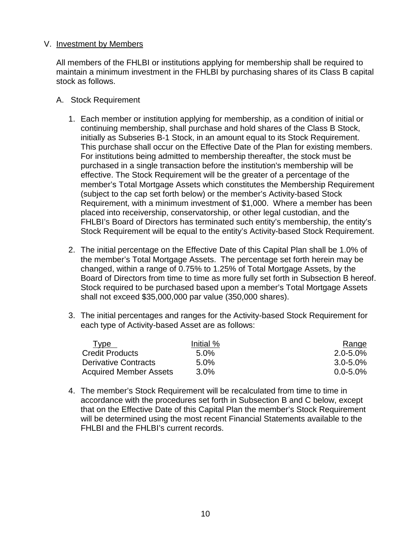#### V. Investment by Members

All members of the FHLBI or institutions applying for membership shall be required to maintain a minimum investment in the FHLBI by purchasing shares of its Class B capital stock as follows.

- A. Stock Requirement
	- 1. Each member or institution applying for membership, as a condition of initial or continuing membership, shall purchase and hold shares of the Class B Stock, initially as Subseries B-1 Stock, in an amount equal to its Stock Requirement. This purchase shall occur on the Effective Date of the Plan for existing members. For institutions being admitted to membership thereafter, the stock must be purchased in a single transaction before the institution's membership will be effective. The Stock Requirement will be the greater of a percentage of the member's Total Mortgage Assets which constitutes the Membership Requirement (subject to the cap set forth below) or the member's Activity-based Stock Requirement, with a minimum investment of \$1,000. Where a member has been placed into receivership, conservatorship, or other legal custodian, and the FHLBI's Board of Directors has terminated such entity's membership, the entity's Stock Requirement will be equal to the entity's Activity-based Stock Requirement.
	- 2. The initial percentage on the Effective Date of this Capital Plan shall be 1.0% of the member's Total Mortgage Assets. The percentage set forth herein may be changed, within a range of 0.75% to 1.25% of Total Mortgage Assets, by the Board of Directors from time to time as more fully set forth in Subsection B hereof. Stock required to be purchased based upon a member's Total Mortgage Assets shall not exceed \$35,000,000 par value (350,000 shares).
	- 3. The initial percentages and ranges for the Activity-based Stock Requirement for each type of Activity-based Asset are as follows:

| Type                          | Initial % | <b>Range</b>  |
|-------------------------------|-----------|---------------|
| <b>Credit Products</b>        | $5.0\%$   | $2.0 - 5.0\%$ |
| <b>Derivative Contracts</b>   | $5.0\%$   | $3.0 - 5.0\%$ |
| <b>Acquired Member Assets</b> | $3.0\%$   | $0.0 - 5.0\%$ |

4. The member's Stock Requirement will be recalculated from time to time in accordance with the procedures set forth in Subsection B and C below, except that on the Effective Date of this Capital Plan the member's Stock Requirement will be determined using the most recent Financial Statements available to the FHLBI and the FHLBI's current records.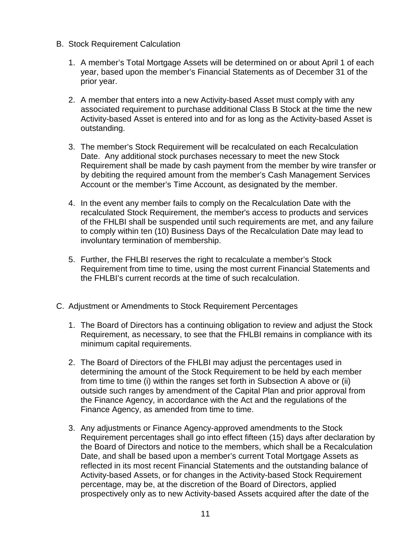- B. Stock Requirement Calculation
	- 1. A member's Total Mortgage Assets will be determined on or about April 1 of each year, based upon the member's Financial Statements as of December 31 of the prior year.
	- 2. A member that enters into a new Activity-based Asset must comply with any associated requirement to purchase additional Class B Stock at the time the new Activity-based Asset is entered into and for as long as the Activity-based Asset is outstanding.
	- 3. The member's Stock Requirement will be recalculated on each Recalculation Date. Any additional stock purchases necessary to meet the new Stock Requirement shall be made by cash payment from the member by wire transfer or by debiting the required amount from the member's Cash Management Services Account or the member's Time Account, as designated by the member.
	- 4. In the event any member fails to comply on the Recalculation Date with the recalculated Stock Requirement, the member's access to products and services of the FHLBI shall be suspended until such requirements are met, and any failure to comply within ten (10) Business Days of the Recalculation Date may lead to involuntary termination of membership.
	- 5. Further, the FHLBI reserves the right to recalculate a member's Stock Requirement from time to time, using the most current Financial Statements and the FHLBI's current records at the time of such recalculation.
- C. Adjustment or Amendments to Stock Requirement Percentages
	- 1. The Board of Directors has a continuing obligation to review and adjust the Stock Requirement, as necessary, to see that the FHLBI remains in compliance with its minimum capital requirements.
	- 2. The Board of Directors of the FHLBI may adjust the percentages used in determining the amount of the Stock Requirement to be held by each member from time to time (i) within the ranges set forth in Subsection A above or (ii) outside such ranges by amendment of the Capital Plan and prior approval from the Finance Agency, in accordance with the Act and the regulations of the Finance Agency, as amended from time to time.
	- 3. Any adjustments or Finance Agency-approved amendments to the Stock Requirement percentages shall go into effect fifteen (15) days after declaration by the Board of Directors and notice to the members, which shall be a Recalculation Date, and shall be based upon a member's current Total Mortgage Assets as reflected in its most recent Financial Statements and the outstanding balance of Activity-based Assets, or for changes in the Activity-based Stock Requirement percentage, may be, at the discretion of the Board of Directors, applied prospectively only as to new Activity-based Assets acquired after the date of the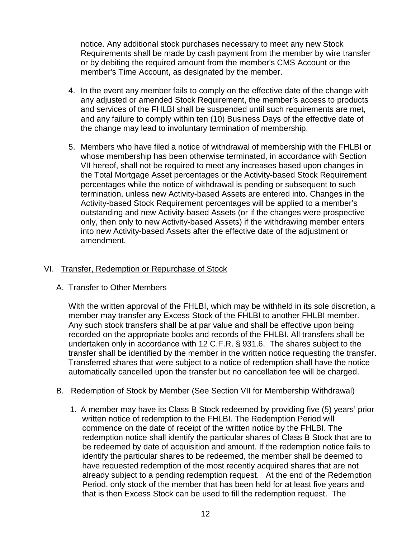notice. Any additional stock purchases necessary to meet any new Stock Requirements shall be made by cash payment from the member by wire transfer or by debiting the required amount from the member's CMS Account or the member's Time Account, as designated by the member.

- 4. In the event any member fails to comply on the effective date of the change with any adjusted or amended Stock Requirement, the member's access to products and services of the FHLBI shall be suspended until such requirements are met, and any failure to comply within ten (10) Business Days of the effective date of the change may lead to involuntary termination of membership.
- 5. Members who have filed a notice of withdrawal of membership with the FHLBI or whose membership has been otherwise terminated, in accordance with Section VII hereof, shall not be required to meet any increases based upon changes in the Total Mortgage Asset percentages or the Activity-based Stock Requirement percentages while the notice of withdrawal is pending or subsequent to such termination, unless new Activity-based Assets are entered into. Changes in the Activity-based Stock Requirement percentages will be applied to a member's outstanding and new Activity-based Assets (or if the changes were prospective only, then only to new Activity-based Assets) if the withdrawing member enters into new Activity-based Assets after the effective date of the adjustment or amendment.

#### VI. Transfer, Redemption or Repurchase of Stock

#### A. Transfer to Other Members

With the written approval of the FHLBI, which may be withheld in its sole discretion, a member may transfer any Excess Stock of the FHLBI to another FHLBI member. Any such stock transfers shall be at par value and shall be effective upon being recorded on the appropriate books and records of the FHLBI. All transfers shall be undertaken only in accordance with 12 C.F.R. § 931.6. The shares subject to the transfer shall be identified by the member in the written notice requesting the transfer. Transferred shares that were subject to a notice of redemption shall have the notice automatically cancelled upon the transfer but no cancellation fee will be charged.

- B. Redemption of Stock by Member (See Section VII for Membership Withdrawal)
	- 1. A member may have its Class B Stock redeemed by providing five (5) years' prior written notice of redemption to the FHLBI. The Redemption Period will commence on the date of receipt of the written notice by the FHLBI. The redemption notice shall identify the particular shares of Class B Stock that are to be redeemed by date of acquisition and amount. If the redemption notice fails to identify the particular shares to be redeemed, the member shall be deemed to have requested redemption of the most recently acquired shares that are not already subject to a pending redemption request. At the end of the Redemption Period, only stock of the member that has been held for at least five years and that is then Excess Stock can be used to fill the redemption request. The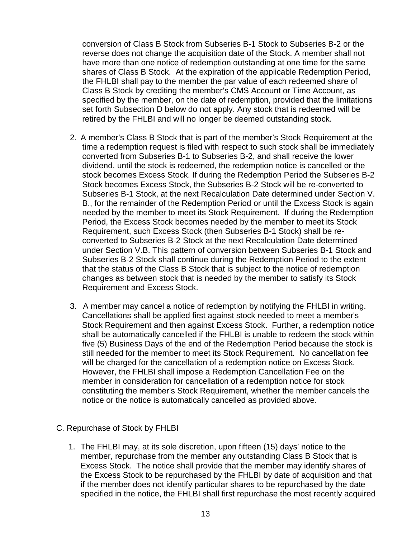conversion of Class B Stock from Subseries B-1 Stock to Subseries B-2 or the reverse does not change the acquisition date of the Stock. A member shall not have more than one notice of redemption outstanding at one time for the same shares of Class B Stock. At the expiration of the applicable Redemption Period, the FHLBI shall pay to the member the par value of each redeemed share of Class B Stock by crediting the member's CMS Account or Time Account, as specified by the member, on the date of redemption, provided that the limitations set forth Subsection D below do not apply. Any stock that is redeemed will be retired by the FHLBI and will no longer be deemed outstanding stock.

- 2. A member's Class B Stock that is part of the member's Stock Requirement at the time a redemption request is filed with respect to such stock shall be immediately converted from Subseries B-1 to Subseries B-2, and shall receive the lower dividend, until the stock is redeemed, the redemption notice is cancelled or the stock becomes Excess Stock. If during the Redemption Period the Subseries B-2 Stock becomes Excess Stock, the Subseries B-2 Stock will be re-converted to Subseries B-1 Stock, at the next Recalculation Date determined under Section V. B., for the remainder of the Redemption Period or until the Excess Stock is again needed by the member to meet its Stock Requirement. If during the Redemption Period, the Excess Stock becomes needed by the member to meet its Stock Requirement, such Excess Stock (then Subseries B-1 Stock) shall be reconverted to Subseries B-2 Stock at the next Recalculation Date determined under Section V.B. This pattern of conversion between Subseries B-1 Stock and Subseries B-2 Stock shall continue during the Redemption Period to the extent that the status of the Class B Stock that is subject to the notice of redemption changes as between stock that is needed by the member to satisfy its Stock Requirement and Excess Stock.
- 3. A member may cancel a notice of redemption by notifying the FHLBI in writing. Cancellations shall be applied first against stock needed to meet a member's Stock Requirement and then against Excess Stock. Further, a redemption notice shall be automatically cancelled if the FHLBI is unable to redeem the stock within five (5) Business Days of the end of the Redemption Period because the stock is still needed for the member to meet its Stock Requirement. No cancellation fee will be charged for the cancellation of a redemption notice on Excess Stock. However, the FHLBI shall impose a Redemption Cancellation Fee on the member in consideration for cancellation of a redemption notice for stock constituting the member's Stock Requirement, whether the member cancels the notice or the notice is automatically cancelled as provided above.
- C. Repurchase of Stock by FHLBI
	- 1. The FHLBI may, at its sole discretion, upon fifteen (15) days' notice to the member, repurchase from the member any outstanding Class B Stock that is Excess Stock. The notice shall provide that the member may identify shares of the Excess Stock to be repurchased by the FHLBI by date of acquisition and that if the member does not identify particular shares to be repurchased by the date specified in the notice, the FHLBI shall first repurchase the most recently acquired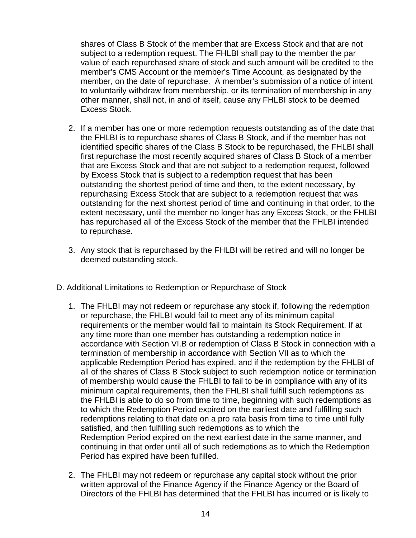shares of Class B Stock of the member that are Excess Stock and that are not subject to a redemption request. The FHLBI shall pay to the member the par value of each repurchased share of stock and such amount will be credited to the member's CMS Account or the member's Time Account, as designated by the member, on the date of repurchase. A member's submission of a notice of intent to voluntarily withdraw from membership, or its termination of membership in any other manner, shall not, in and of itself, cause any FHLBI stock to be deemed Excess Stock.

- 2. If a member has one or more redemption requests outstanding as of the date that the FHLBI is to repurchase shares of Class B Stock, and if the member has not identified specific shares of the Class B Stock to be repurchased, the FHLBI shall first repurchase the most recently acquired shares of Class B Stock of a member that are Excess Stock and that are not subject to a redemption request, followed by Excess Stock that is subject to a redemption request that has been outstanding the shortest period of time and then, to the extent necessary, by repurchasing Excess Stock that are subject to a redemption request that was outstanding for the next shortest period of time and continuing in that order, to the extent necessary, until the member no longer has any Excess Stock, or the FHLBI has repurchased all of the Excess Stock of the member that the FHLBI intended to repurchase.
- 3. Any stock that is repurchased by the FHLBI will be retired and will no longer be deemed outstanding stock.
- D. Additional Limitations to Redemption or Repurchase of Stock
	- 1. The FHLBI may not redeem or repurchase any stock if, following the redemption or repurchase, the FHLBI would fail to meet any of its minimum capital requirements or the member would fail to maintain its Stock Requirement. If at any time more than one member has outstanding a redemption notice in accordance with Section VI.B or redemption of Class B Stock in connection with a termination of membership in accordance with Section VII as to which the applicable Redemption Period has expired, and if the redemption by the FHLBI of all of the shares of Class B Stock subject to such redemption notice or termination of membership would cause the FHLBI to fail to be in compliance with any of its minimum capital requirements, then the FHLBI shall fulfill such redemptions as the FHLBI is able to do so from time to time, beginning with such redemptions as to which the Redemption Period expired on the earliest date and fulfilling such redemptions relating to that date on a pro rata basis from time to time until fully satisfied, and then fulfilling such redemptions as to which the Redemption Period expired on the next earliest date in the same manner, and continuing in that order until all of such redemptions as to which the Redemption Period has expired have been fulfilled.
	- 2. The FHLBI may not redeem or repurchase any capital stock without the prior written approval of the Finance Agency if the Finance Agency or the Board of Directors of the FHLBI has determined that the FHLBI has incurred or is likely to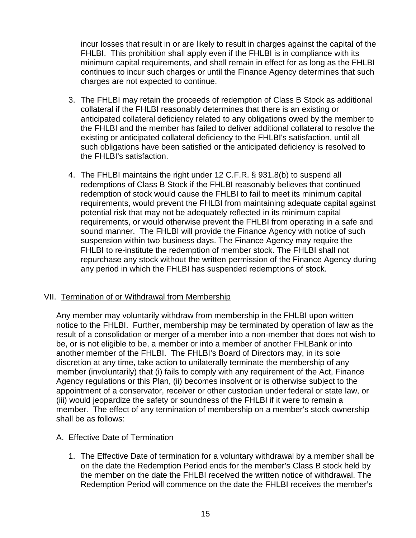incur losses that result in or are likely to result in charges against the capital of the FHLBI. This prohibition shall apply even if the FHLBI is in compliance with its minimum capital requirements, and shall remain in effect for as long as the FHLBI continues to incur such charges or until the Finance Agency determines that such charges are not expected to continue.

- 3. The FHLBI may retain the proceeds of redemption of Class B Stock as additional collateral if the FHLBI reasonably determines that there is an existing or anticipated collateral deficiency related to any obligations owed by the member to the FHLBI and the member has failed to deliver additional collateral to resolve the existing or anticipated collateral deficiency to the FHLBI's satisfaction, until all such obligations have been satisfied or the anticipated deficiency is resolved to the FHLBI's satisfaction.
- 4. The FHLBI maintains the right under 12 C.F.R. § 931.8(b) to suspend all redemptions of Class B Stock if the FHLBI reasonably believes that continued redemption of stock would cause the FHLBI to fail to meet its minimum capital requirements, would prevent the FHLBI from maintaining adequate capital against potential risk that may not be adequately reflected in its minimum capital requirements, or would otherwise prevent the FHLBI from operating in a safe and sound manner. The FHLBI will provide the Finance Agency with notice of such suspension within two business days. The Finance Agency may require the FHLBI to re-institute the redemption of member stock. The FHLBI shall not repurchase any stock without the written permission of the Finance Agency during any period in which the FHLBI has suspended redemptions of stock.

#### VII. Termination of or Withdrawal from Membership

Any member may voluntarily withdraw from membership in the FHLBI upon written notice to the FHLBI. Further, membership may be terminated by operation of law as the result of a consolidation or merger of a member into a non-member that does not wish to be, or is not eligible to be, a member or into a member of another FHLBank or into another member of the FHLBI. The FHLBI's Board of Directors may, in its sole discretion at any time, take action to unilaterally terminate the membership of any member (involuntarily) that (i) fails to comply with any requirement of the Act, Finance Agency regulations or this Plan, (ii) becomes insolvent or is otherwise subject to the appointment of a conservator, receiver or other custodian under federal or state law, or (iii) would jeopardize the safety or soundness of the FHLBI if it were to remain a member. The effect of any termination of membership on a member's stock ownership shall be as follows:

#### A. Effective Date of Termination

1. The Effective Date of termination for a voluntary withdrawal by a member shall be on the date the Redemption Period ends for the member's Class B stock held by the member on the date the FHLBI received the written notice of withdrawal. The Redemption Period will commence on the date the FHLBI receives the member's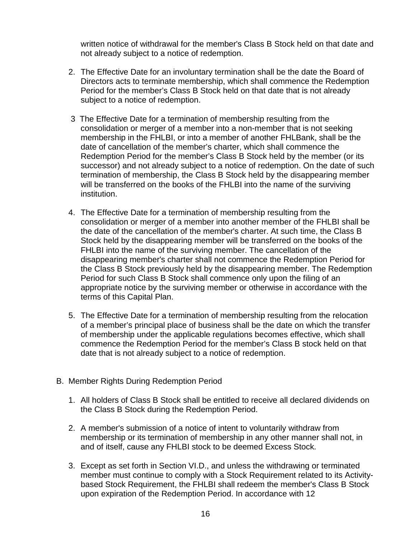written notice of withdrawal for the member's Class B Stock held on that date and not already subject to a notice of redemption.

- 2. The Effective Date for an involuntary termination shall be the date the Board of Directors acts to terminate membership, which shall commence the Redemption Period for the member's Class B Stock held on that date that is not already subject to a notice of redemption.
- 3 The Effective Date for a termination of membership resulting from the consolidation or merger of a member into a non-member that is not seeking membership in the FHLBI, or into a member of another FHLBank, shall be the date of cancellation of the member's charter, which shall commence the Redemption Period for the member's Class B Stock held by the member (or its successor) and not already subject to a notice of redemption. On the date of such termination of membership, the Class B Stock held by the disappearing member will be transferred on the books of the FHLBI into the name of the surviving institution.
- 4. The Effective Date for a termination of membership resulting from the consolidation or merger of a member into another member of the FHLBI shall be the date of the cancellation of the member's charter. At such time, the Class B Stock held by the disappearing member will be transferred on the books of the FHLBI into the name of the surviving member. The cancellation of the disappearing member's charter shall not commence the Redemption Period for the Class B Stock previously held by the disappearing member. The Redemption Period for such Class B Stock shall commence only upon the filing of an appropriate notice by the surviving member or otherwise in accordance with the terms of this Capital Plan.
- 5. The Effective Date for a termination of membership resulting from the relocation of a member's principal place of business shall be the date on which the transfer of membership under the applicable regulations becomes effective, which shall commence the Redemption Period for the member's Class B stock held on that date that is not already subject to a notice of redemption.
- B. Member Rights During Redemption Period
	- 1. All holders of Class B Stock shall be entitled to receive all declared dividends on the Class B Stock during the Redemption Period.
	- 2. A member's submission of a notice of intent to voluntarily withdraw from membership or its termination of membership in any other manner shall not, in and of itself, cause any FHLBI stock to be deemed Excess Stock.
	- 3. Except as set forth in Section VI.D., and unless the withdrawing or terminated member must continue to comply with a Stock Requirement related to its Activitybased Stock Requirement, the FHLBI shall redeem the member's Class B Stock upon expiration of the Redemption Period. In accordance with 12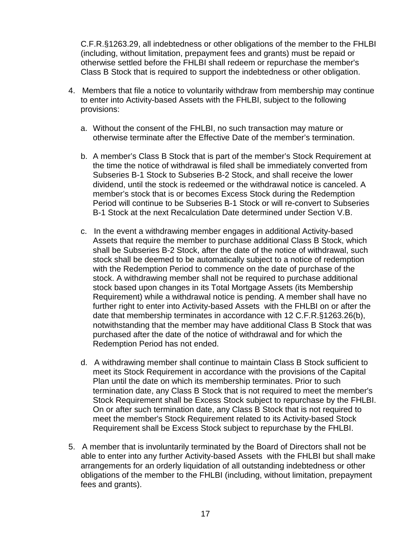C.F.R.§1263.29, all indebtedness or other obligations of the member to the FHLBI (including, without limitation, prepayment fees and grants) must be repaid or otherwise settled before the FHLBI shall redeem or repurchase the member's Class B Stock that is required to support the indebtedness or other obligation.

- 4. Members that file a notice to voluntarily withdraw from membership may continue to enter into Activity-based Assets with the FHLBI, subject to the following provisions:
	- a. Without the consent of the FHLBI, no such transaction may mature or otherwise terminate after the Effective Date of the member's termination.
	- b. A member's Class B Stock that is part of the member's Stock Requirement at the time the notice of withdrawal is filed shall be immediately converted from Subseries B-1 Stock to Subseries B-2 Stock, and shall receive the lower dividend, until the stock is redeemed or the withdrawal notice is canceled. A member's stock that is or becomes Excess Stock during the Redemption Period will continue to be Subseries B-1 Stock or will re-convert to Subseries B-1 Stock at the next Recalculation Date determined under Section V.B.
	- c. In the event a withdrawing member engages in additional Activity-based Assets that require the member to purchase additional Class B Stock, which shall be Subseries B-2 Stock, after the date of the notice of withdrawal, such stock shall be deemed to be automatically subject to a notice of redemption with the Redemption Period to commence on the date of purchase of the stock. A withdrawing member shall not be required to purchase additional stock based upon changes in its Total Mortgage Assets (its Membership Requirement) while a withdrawal notice is pending. A member shall have no further right to enter into Activity-based Assets with the FHLBI on or after the date that membership terminates in accordance with 12 C.F.R.§1263.26(b), notwithstanding that the member may have additional Class B Stock that was purchased after the date of the notice of withdrawal and for which the Redemption Period has not ended.
	- d. A withdrawing member shall continue to maintain Class B Stock sufficient to meet its Stock Requirement in accordance with the provisions of the Capital Plan until the date on which its membership terminates. Prior to such termination date, any Class B Stock that is not required to meet the member's Stock Requirement shall be Excess Stock subject to repurchase by the FHLBI. On or after such termination date, any Class B Stock that is not required to meet the member's Stock Requirement related to its Activity-based Stock Requirement shall be Excess Stock subject to repurchase by the FHLBI.
- 5. A member that is involuntarily terminated by the Board of Directors shall not be able to enter into any further Activity-based Assets with the FHLBI but shall make arrangements for an orderly liquidation of all outstanding indebtedness or other obligations of the member to the FHLBI (including, without limitation, prepayment fees and grants).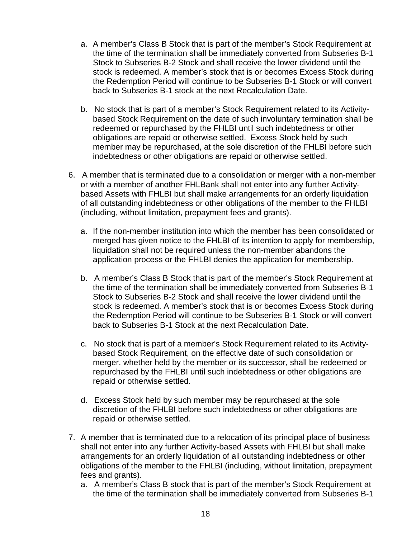- a. A member's Class B Stock that is part of the member's Stock Requirement at the time of the termination shall be immediately converted from Subseries B-1 Stock to Subseries B-2 Stock and shall receive the lower dividend until the stock is redeemed. A member's stock that is or becomes Excess Stock during the Redemption Period will continue to be Subseries B-1 Stock or will convert back to Subseries B-1 stock at the next Recalculation Date.
- b. No stock that is part of a member's Stock Requirement related to its Activitybased Stock Requirement on the date of such involuntary termination shall be redeemed or repurchased by the FHLBI until such indebtedness or other obligations are repaid or otherwise settled. Excess Stock held by such member may be repurchased, at the sole discretion of the FHLBI before such indebtedness or other obligations are repaid or otherwise settled.
- 6. A member that is terminated due to a consolidation or merger with a non-member or with a member of another FHLBank shall not enter into any further Activitybased Assets with FHLBI but shall make arrangements for an orderly liquidation of all outstanding indebtedness or other obligations of the member to the FHLBI (including, without limitation, prepayment fees and grants).
	- a. If the non-member institution into which the member has been consolidated or merged has given notice to the FHLBI of its intention to apply for membership, liquidation shall not be required unless the non-member abandons the application process or the FHLBI denies the application for membership.
	- b. A member's Class B Stock that is part of the member's Stock Requirement at the time of the termination shall be immediately converted from Subseries B-1 Stock to Subseries B-2 Stock and shall receive the lower dividend until the stock is redeemed. A member's stock that is or becomes Excess Stock during the Redemption Period will continue to be Subseries B-1 Stock or will convert back to Subseries B-1 Stock at the next Recalculation Date.
	- c. No stock that is part of a member's Stock Requirement related to its Activitybased Stock Requirement, on the effective date of such consolidation or merger, whether held by the member or its successor, shall be redeemed or repurchased by the FHLBI until such indebtedness or other obligations are repaid or otherwise settled.
	- d. Excess Stock held by such member may be repurchased at the sole discretion of the FHLBI before such indebtedness or other obligations are repaid or otherwise settled.
- 7. A member that is terminated due to a relocation of its principal place of business shall not enter into any further Activity-based Assets with FHLBI but shall make arrangements for an orderly liquidation of all outstanding indebtedness or other obligations of the member to the FHLBI (including, without limitation, prepayment fees and grants).
	- a. A member's Class B stock that is part of the member's Stock Requirement at the time of the termination shall be immediately converted from Subseries B-1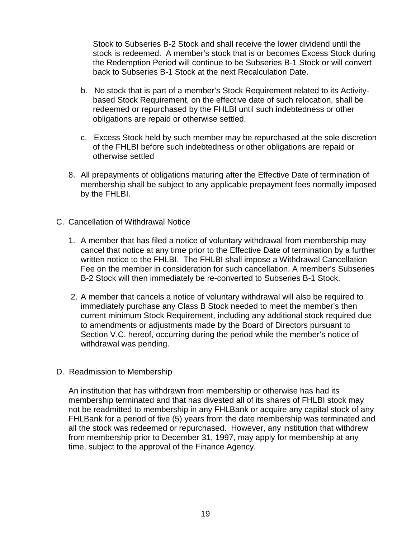Stock to Subseries B-2 Stock and shall receive the lower dividend until the stock is redeemed. A member's stock that is or becomes Excess Stock during the Redemption Period will continue to be Subseries B-1 Stock or will convert back to Subseries B-1 Stock at the next Recalculation Date.

- b. No stock that is part of a member's Stock Requirement related to its Activitybased Stock Requirement, on the effective date of such relocation, shall be redeemed or repurchased by the FHLBI until such indebtedness or other obligations are repaid or otherwise settled.
- c. Excess Stock held by such member may be repurchased at the sole discretion of the FHLBI before such indebtedness or other obligations are repaid or otherwise settled
- 8. All prepayments of obligations maturing after the Effective Date of termination of membership shall be subject to any applicable prepayment fees normally imposed by the FHLBI.
- C. Cancellation of Withdrawal Notice
	- 1. A member that has filed a notice of voluntary withdrawal from membership may cancel that notice at any time prior to the Effective Date of termination by a further written notice to the FHLBI. The FHLBI shall impose a Withdrawal Cancellation Fee on the member in consideration for such cancellation. A member's Subseries B-2 Stock will then immediately be re-converted to Subseries B-1 Stock.
	- 2. A member that cancels a notice of voluntary withdrawal will also be required to immediately purchase any Class B Stock needed to meet the member's then current minimum Stock Requirement, including any additional stock required due to amendments or adjustments made by the Board of Directors pursuant to Section V.C. hereof, occurring during the period while the member's notice of withdrawal was pending.
- D. Readmission to Membership

An institution that has withdrawn from membership or otherwise has had its membership terminated and that has divested all of its shares of FHLBI stock may not be readmitted to membership in any FHLBank or acquire any capital stock of any FHLBank for a period of five (5) years from the date membership was terminated and all the stock was redeemed or repurchased. However, any institution that withdrew from membership prior to December 31, 1997, may apply for membership at any time, subject to the approval of the Finance Agency.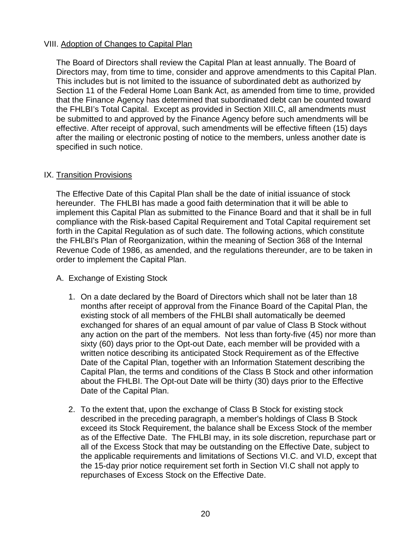#### VIII. Adoption of Changes to Capital Plan

The Board of Directors shall review the Capital Plan at least annually. The Board of Directors may, from time to time, consider and approve amendments to this Capital Plan. This includes but is not limited to the issuance of subordinated debt as authorized by Section 11 of the Federal Home Loan Bank Act, as amended from time to time, provided that the Finance Agency has determined that subordinated debt can be counted toward the FHLBI's Total Capital. Except as provided in Section XIII.C, all amendments must be submitted to and approved by the Finance Agency before such amendments will be effective. After receipt of approval, such amendments will be effective fifteen (15) days after the mailing or electronic posting of notice to the members, unless another date is specified in such notice.

#### IX. Transition Provisions

The Effective Date of this Capital Plan shall be the date of initial issuance of stock hereunder. The FHLBI has made a good faith determination that it will be able to implement this Capital Plan as submitted to the Finance Board and that it shall be in full compliance with the Risk-based Capital Requirement and Total Capital requirement set forth in the Capital Regulation as of such date. The following actions, which constitute the FHLBI's Plan of Reorganization, within the meaning of Section 368 of the Internal Revenue Code of 1986, as amended, and the regulations thereunder, are to be taken in order to implement the Capital Plan.

- A. Exchange of Existing Stock
	- 1. On a date declared by the Board of Directors which shall not be later than 18 months after receipt of approval from the Finance Board of the Capital Plan, the existing stock of all members of the FHLBI shall automatically be deemed exchanged for shares of an equal amount of par value of Class B Stock without any action on the part of the members. Not less than forty-five (45) nor more than sixty (60) days prior to the Opt-out Date, each member will be provided with a written notice describing its anticipated Stock Requirement as of the Effective Date of the Capital Plan, together with an Information Statement describing the Capital Plan, the terms and conditions of the Class B Stock and other information about the FHLBI. The Opt-out Date will be thirty (30) days prior to the Effective Date of the Capital Plan.
	- 2. To the extent that, upon the exchange of Class B Stock for existing stock described in the preceding paragraph, a member's holdings of Class B Stock exceed its Stock Requirement, the balance shall be Excess Stock of the member as of the Effective Date. The FHLBI may, in its sole discretion, repurchase part or all of the Excess Stock that may be outstanding on the Effective Date, subject to the applicable requirements and limitations of Sections VI.C. and VI.D, except that the 15-day prior notice requirement set forth in Section VI.C shall not apply to repurchases of Excess Stock on the Effective Date.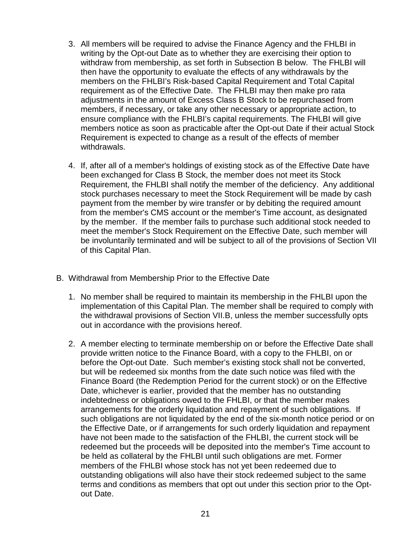- 3. All members will be required to advise the Finance Agency and the FHLBI in writing by the Opt-out Date as to whether they are exercising their option to withdraw from membership, as set forth in Subsection B below. The FHLBI will then have the opportunity to evaluate the effects of any withdrawals by the members on the FHLBI's Risk-based Capital Requirement and Total Capital requirement as of the Effective Date. The FHLBI may then make pro rata adjustments in the amount of Excess Class B Stock to be repurchased from members, if necessary, or take any other necessary or appropriate action, to ensure compliance with the FHLBI's capital requirements. The FHLBI will give members notice as soon as practicable after the Opt-out Date if their actual Stock Requirement is expected to change as a result of the effects of member withdrawals.
- 4. If, after all of a member's holdings of existing stock as of the Effective Date have been exchanged for Class B Stock, the member does not meet its Stock Requirement, the FHLBI shall notify the member of the deficiency. Any additional stock purchases necessary to meet the Stock Requirement will be made by cash payment from the member by wire transfer or by debiting the required amount from the member's CMS account or the member's Time account, as designated by the member. If the member fails to purchase such additional stock needed to meet the member's Stock Requirement on the Effective Date, such member will be involuntarily terminated and will be subject to all of the provisions of Section VII of this Capital Plan.
- B. Withdrawal from Membership Prior to the Effective Date
	- 1. No member shall be required to maintain its membership in the FHLBI upon the implementation of this Capital Plan. The member shall be required to comply with the withdrawal provisions of Section VII.B, unless the member successfully opts out in accordance with the provisions hereof.
	- 2. A member electing to terminate membership on or before the Effective Date shall provide written notice to the Finance Board, with a copy to the FHLBI, on or before the Opt-out Date. Such member's existing stock shall not be converted, but will be redeemed six months from the date such notice was filed with the Finance Board (the Redemption Period for the current stock) or on the Effective Date, whichever is earlier, provided that the member has no outstanding indebtedness or obligations owed to the FHLBI, or that the member makes arrangements for the orderly liquidation and repayment of such obligations. If such obligations are not liquidated by the end of the six-month notice period or on the Effective Date, or if arrangements for such orderly liquidation and repayment have not been made to the satisfaction of the FHLBI, the current stock will be redeemed but the proceeds will be deposited into the member's Time account to be held as collateral by the FHLBI until such obligations are met. Former members of the FHLBI whose stock has not yet been redeemed due to outstanding obligations will also have their stock redeemed subject to the same terms and conditions as members that opt out under this section prior to the Optout Date.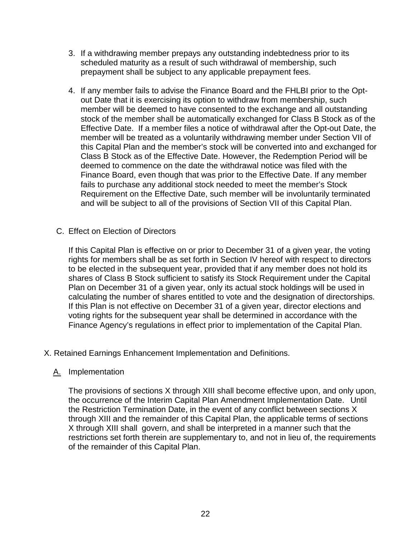- 3. If a withdrawing member prepays any outstanding indebtedness prior to its scheduled maturity as a result of such withdrawal of membership, such prepayment shall be subject to any applicable prepayment fees.
- 4. If any member fails to advise the Finance Board and the FHLBI prior to the Optout Date that it is exercising its option to withdraw from membership, such member will be deemed to have consented to the exchange and all outstanding stock of the member shall be automatically exchanged for Class B Stock as of the Effective Date. If a member files a notice of withdrawal after the Opt-out Date, the member will be treated as a voluntarily withdrawing member under Section VII of this Capital Plan and the member's stock will be converted into and exchanged for Class B Stock as of the Effective Date. However, the Redemption Period will be deemed to commence on the date the withdrawal notice was filed with the Finance Board, even though that was prior to the Effective Date. If any member fails to purchase any additional stock needed to meet the member's Stock Requirement on the Effective Date, such member will be involuntarily terminated and will be subject to all of the provisions of Section VII of this Capital Plan.
- C. Effect on Election of Directors

If this Capital Plan is effective on or prior to December 31 of a given year, the voting rights for members shall be as set forth in Section IV hereof with respect to directors to be elected in the subsequent year, provided that if any member does not hold its shares of Class B Stock sufficient to satisfy its Stock Requirement under the Capital Plan on December 31 of a given year, only its actual stock holdings will be used in calculating the number of shares entitled to vote and the designation of directorships. If this Plan is not effective on December 31 of a given year, director elections and voting rights for the subsequent year shall be determined in accordance with the Finance Agency's regulations in effect prior to implementation of the Capital Plan.

X. Retained Earnings Enhancement Implementation and Definitions.

#### A. Implementation

The provisions of sections X through XIII shall become effective upon, and only upon, the occurrence of the Interim Capital Plan Amendment Implementation Date. Until the Restriction Termination Date, in the event of any conflict between sections X through XIII and the remainder of this Capital Plan, the applicable terms of sections X through XIII shall govern, and shall be interpreted in a manner such that the restrictions set forth therein are supplementary to, and not in lieu of, the requirements of the remainder of this Capital Plan.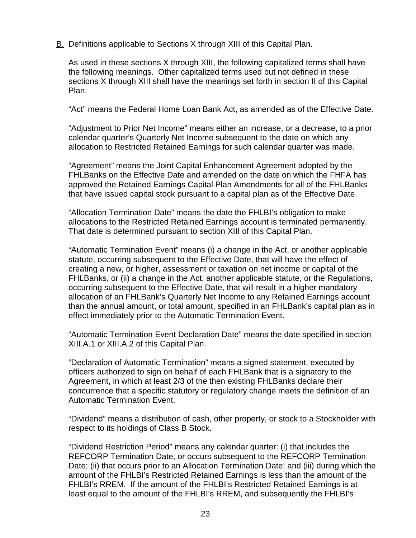B. Definitions applicable to Sections X through XIII of this Capital Plan.

As used in these sections X through XIII, the following capitalized terms shall have the following meanings. Other capitalized terms used but not defined in these sections X through XIII shall have the meanings set forth in section II of this Capital Plan.

"Act" means the Federal Home Loan Bank Act, as amended as of the Effective Date.

"Adjustment to Prior Net Income" means either an increase, or a decrease, to a prior calendar quarter's Quarterly Net Income subsequent to the date on which any allocation to Restricted Retained Earnings for such calendar quarter was made.

"Agreement" means the Joint Capital Enhancement Agreement adopted by the FHLBanks on the Effective Date and amended on the date on which the FHFA has approved the Retained Earnings Capital Plan Amendments for all of the FHLBanks that have issued capital stock pursuant to a capital plan as of the Effective Date.

"Allocation Termination Date" means the date the FHLBI's obligation to make allocations to the Restricted Retained Earnings account is terminated permanently. That date is determined pursuant to section XIII of this Capital Plan.

"Automatic Termination Event" means (i) a change in the Act, or another applicable statute, occurring subsequent to the Effective Date, that will have the effect of creating a new, or higher, assessment or taxation on net income or capital of the FHLBanks, or (ii) a change in the Act, another applicable statute, or the Regulations, occurring subsequent to the Effective Date, that will result in a higher mandatory allocation of an FHLBank's Quarterly Net Income to any Retained Earnings account than the annual amount, or total amount, specified in an FHLBank's capital plan as in effect immediately prior to the Automatic Termination Event.

"Automatic Termination Event Declaration Date" means the date specified in section XIII.A.1 or XIII.A.2 of this Capital Plan.

"Declaration of Automatic Termination" means a signed statement, executed by officers authorized to sign on behalf of each FHLBank that is a signatory to the Agreement, in which at least 2/3 of the then existing FHLBanks declare their concurrence that a specific statutory or regulatory change meets the definition of an Automatic Termination Event.

"Dividend" means a distribution of cash, other property, or stock to a Stockholder with respect to its holdings of Class B Stock.

"Dividend Restriction Period" means any calendar quarter: (i) that includes the REFCORP Termination Date, or occurs subsequent to the REFCORP Termination Date; (ii) that occurs prior to an Allocation Termination Date; and (iii) during which the amount of the FHLBI's Restricted Retained Earnings is less than the amount of the FHLBI's RREM. If the amount of the FHLBI's Restricted Retained Earnings is at least equal to the amount of the FHLBI's RREM, and subsequently the FHLBI's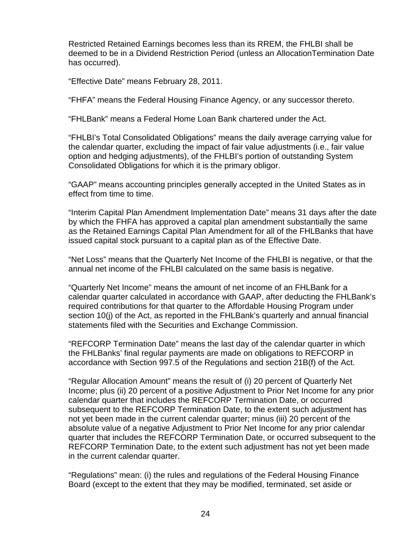Restricted Retained Earnings becomes less than its RREM, the FHLBI shall be deemed to be in a Dividend Restriction Period (unless an AllocationTermination Date has occurred).

"Effective Date" means February 28, 2011.

"FHFA" means the Federal Housing Finance Agency, or any successor thereto.

"FHLBank" means a Federal Home Loan Bank chartered under the Act.

"FHLBI's Total Consolidated Obligations" means the daily average carrying value for the calendar quarter, excluding the impact of fair value adjustments (i.e., fair value option and hedging adjustments), of the FHLBI's portion of outstanding System Consolidated Obligations for which it is the primary obligor.

"GAAP" means accounting principles generally accepted in the United States as in effect from time to time.

"Interim Capital Plan Amendment Implementation Date" means 31 days after the date by which the FHFA has approved a capital plan amendment substantially the same as the Retained Earnings Capital Plan Amendment for all of the FHLBanks that have issued capital stock pursuant to a capital plan as of the Effective Date.

"Net Loss" means that the Quarterly Net Income of the FHLBI is negative, or that the annual net income of the FHLBI calculated on the same basis is negative.

"Quarterly Net Income" means the amount of net income of an FHLBank for a calendar quarter calculated in accordance with GAAP, after deducting the FHLBank's required contributions for that quarter to the Affordable Housing Program under section 10(j) of the Act, as reported in the FHLBank's quarterly and annual financial statements filed with the Securities and Exchange Commission.

"REFCORP Termination Date" means the last day of the calendar quarter in which the FHLBanks' final regular payments are made on obligations to REFCORP in accordance with Section 997.5 of the Regulations and section 21B(f) of the Act.

"Regular Allocation Amount" means the result of (i) 20 percent of Quarterly Net Income; plus (ii) 20 percent of a positive Adjustment to Prior Net Income for any prior calendar quarter that includes the REFCORP Termination Date, or occurred subsequent to the REFCORP Termination Date, to the extent such adjustment has not yet been made in the current calendar quarter; minus (iii) 20 percent of the absolute value of a negative Adjustment to Prior Net Income for any prior calendar quarter that includes the REFCORP Termination Date, or occurred subsequent to the REFCORP Termination Date, to the extent such adjustment has not yet been made in the current calendar quarter.

"Regulations" mean: (i) the rules and regulations of the Federal Housing Finance Board (except to the extent that they may be modified, terminated, set aside or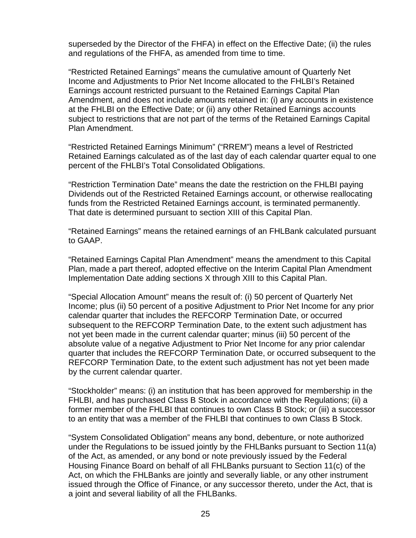superseded by the Director of the FHFA) in effect on the Effective Date; (ii) the rules and regulations of the FHFA, as amended from time to time.

"Restricted Retained Earnings" means the cumulative amount of Quarterly Net Income and Adjustments to Prior Net Income allocated to the FHLBI's Retained Earnings account restricted pursuant to the Retained Earnings Capital Plan Amendment, and does not include amounts retained in: (i) any accounts in existence at the FHLBI on the Effective Date; or (ii) any other Retained Earnings accounts subject to restrictions that are not part of the terms of the Retained Earnings Capital Plan Amendment.

"Restricted Retained Earnings Minimum" ("RREM") means a level of Restricted Retained Earnings calculated as of the last day of each calendar quarter equal to one percent of the FHLBI's Total Consolidated Obligations.

"Restriction Termination Date" means the date the restriction on the FHLBI paying Dividends out of the Restricted Retained Earnings account, or otherwise reallocating funds from the Restricted Retained Earnings account, is terminated permanently. That date is determined pursuant to section XIII of this Capital Plan.

"Retained Earnings" means the retained earnings of an FHLBank calculated pursuant to GAAP.

"Retained Earnings Capital Plan Amendment" means the amendment to this Capital Plan, made a part thereof, adopted effective on the Interim Capital Plan Amendment Implementation Date adding sections X through XIII to this Capital Plan.

"Special Allocation Amount" means the result of: (i) 50 percent of Quarterly Net Income; plus (ii) 50 percent of a positive Adjustment to Prior Net Income for any prior calendar quarter that includes the REFCORP Termination Date, or occurred subsequent to the REFCORP Termination Date, to the extent such adjustment has not yet been made in the current calendar quarter; minus (iii) 50 percent of the absolute value of a negative Adjustment to Prior Net Income for any prior calendar quarter that includes the REFCORP Termination Date, or occurred subsequent to the REFCORP Termination Date, to the extent such adjustment has not yet been made by the current calendar quarter.

"Stockholder" means: (i) an institution that has been approved for membership in the FHLBI, and has purchased Class B Stock in accordance with the Regulations; (ii) a former member of the FHLBI that continues to own Class B Stock; or (iii) a successor to an entity that was a member of the FHLBI that continues to own Class B Stock.

"System Consolidated Obligation" means any bond, debenture, or note authorized under the Regulations to be issued jointly by the FHLBanks pursuant to Section 11(a) of the Act, as amended, or any bond or note previously issued by the Federal Housing Finance Board on behalf of all FHLBanks pursuant to Section 11(c) of the Act, on which the FHLBanks are jointly and severally liable, or any other instrument issued through the Office of Finance, or any successor thereto, under the Act, that is a joint and several liability of all the FHLBanks.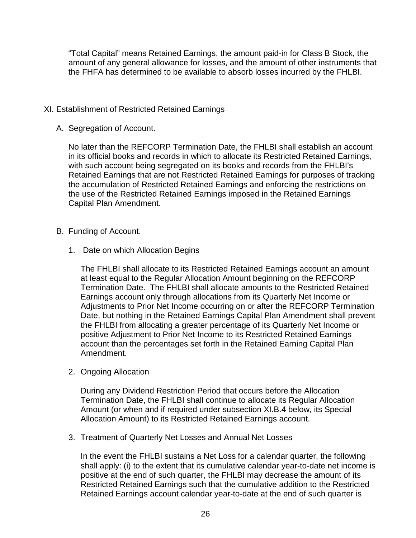"Total Capital" means Retained Earnings, the amount paid-in for Class B Stock, the amount of any general allowance for losses, and the amount of other instruments that the FHFA has determined to be available to absorb losses incurred by the FHLBI.

#### XI. Establishment of Restricted Retained Earnings

A. Segregation of Account.

No later than the REFCORP Termination Date, the FHLBI shall establish an account in its official books and records in which to allocate its Restricted Retained Earnings, with such account being segregated on its books and records from the FHLBI's Retained Earnings that are not Restricted Retained Earnings for purposes of tracking the accumulation of Restricted Retained Earnings and enforcing the restrictions on the use of the Restricted Retained Earnings imposed in the Retained Earnings Capital Plan Amendment.

- B. Funding of Account.
	- 1. Date on which Allocation Begins

The FHLBI shall allocate to its Restricted Retained Earnings account an amount at least equal to the Regular Allocation Amount beginning on the REFCORP Termination Date. The FHLBI shall allocate amounts to the Restricted Retained Earnings account only through allocations from its Quarterly Net Income or Adjustments to Prior Net Income occurring on or after the REFCORP Termination Date, but nothing in the Retained Earnings Capital Plan Amendment shall prevent the FHLBI from allocating a greater percentage of its Quarterly Net Income or positive Adjustment to Prior Net Income to its Restricted Retained Earnings account than the percentages set forth in the Retained Earning Capital Plan Amendment.

2. Ongoing Allocation

During any Dividend Restriction Period that occurs before the Allocation Termination Date, the FHLBI shall continue to allocate its Regular Allocation Amount (or when and if required under subsection XI.B.4 below, its Special Allocation Amount) to its Restricted Retained Earnings account.

3. Treatment of Quarterly Net Losses and Annual Net Losses

In the event the FHLBI sustains a Net Loss for a calendar quarter, the following shall apply: (i) to the extent that its cumulative calendar year-to-date net income is positive at the end of such quarter, the FHLBI may decrease the amount of its Restricted Retained Earnings such that the cumulative addition to the Restricted Retained Earnings account calendar year-to-date at the end of such quarter is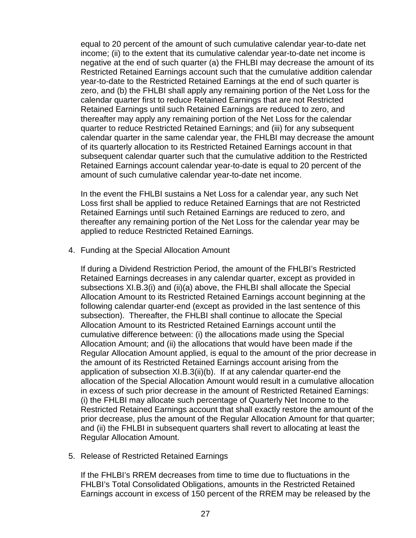equal to 20 percent of the amount of such cumulative calendar year-to-date net income; (ii) to the extent that its cumulative calendar year-to-date net income is negative at the end of such quarter (a) the FHLBI may decrease the amount of its Restricted Retained Earnings account such that the cumulative addition calendar year-to-date to the Restricted Retained Earnings at the end of such quarter is zero, and (b) the FHLBI shall apply any remaining portion of the Net Loss for the calendar quarter first to reduce Retained Earnings that are not Restricted Retained Earnings until such Retained Earnings are reduced to zero, and thereafter may apply any remaining portion of the Net Loss for the calendar quarter to reduce Restricted Retained Earnings; and (iii) for any subsequent calendar quarter in the same calendar year, the FHLBI may decrease the amount of its quarterly allocation to its Restricted Retained Earnings account in that subsequent calendar quarter such that the cumulative addition to the Restricted Retained Earnings account calendar year-to-date is equal to 20 percent of the amount of such cumulative calendar year-to-date net income.

In the event the FHLBI sustains a Net Loss for a calendar year, any such Net Loss first shall be applied to reduce Retained Earnings that are not Restricted Retained Earnings until such Retained Earnings are reduced to zero, and thereafter any remaining portion of the Net Loss for the calendar year may be applied to reduce Restricted Retained Earnings.

4. Funding at the Special Allocation Amount

If during a Dividend Restriction Period, the amount of the FHLBI's Restricted Retained Earnings decreases in any calendar quarter, except as provided in subsections XI.B.3(i) and (ii)(a) above, the FHLBI shall allocate the Special Allocation Amount to its Restricted Retained Earnings account beginning at the following calendar quarter-end (except as provided in the last sentence of this subsection). Thereafter, the FHLBI shall continue to allocate the Special Allocation Amount to its Restricted Retained Earnings account until the cumulative difference between: (i) the allocations made using the Special Allocation Amount; and (ii) the allocations that would have been made if the Regular Allocation Amount applied, is equal to the amount of the prior decrease in the amount of its Restricted Retained Earnings account arising from the application of subsection XI.B.3(ii)(b). If at any calendar quarter-end the allocation of the Special Allocation Amount would result in a cumulative allocation in excess of such prior decrease in the amount of Restricted Retained Earnings: (i) the FHLBI may allocate such percentage of Quarterly Net Income to the Restricted Retained Earnings account that shall exactly restore the amount of the prior decrease, plus the amount of the Regular Allocation Amount for that quarter; and (ii) the FHLBI in subsequent quarters shall revert to allocating at least the Regular Allocation Amount.

5. Release of Restricted Retained Earnings

If the FHLBI's RREM decreases from time to time due to fluctuations in the FHLBI's Total Consolidated Obligations, amounts in the Restricted Retained Earnings account in excess of 150 percent of the RREM may be released by the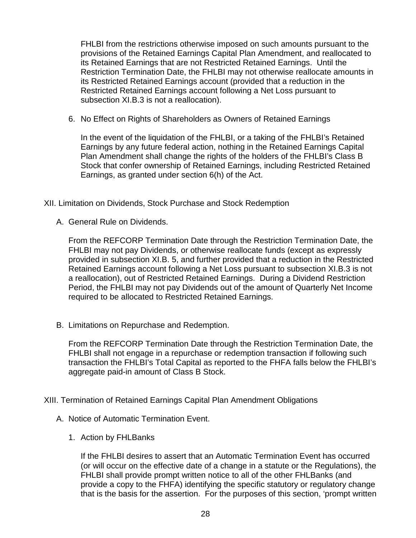FHLBI from the restrictions otherwise imposed on such amounts pursuant to the provisions of the Retained Earnings Capital Plan Amendment, and reallocated to its Retained Earnings that are not Restricted Retained Earnings. Until the Restriction Termination Date, the FHLBI may not otherwise reallocate amounts in its Restricted Retained Earnings account (provided that a reduction in the Restricted Retained Earnings account following a Net Loss pursuant to subsection XI.B.3 is not a reallocation).

6. No Effect on Rights of Shareholders as Owners of Retained Earnings

In the event of the liquidation of the FHLBI, or a taking of the FHLBI's Retained Earnings by any future federal action, nothing in the Retained Earnings Capital Plan Amendment shall change the rights of the holders of the FHLBI's Class B Stock that confer ownership of Retained Earnings, including Restricted Retained Earnings, as granted under section 6(h) of the Act.

XII. Limitation on Dividends, Stock Purchase and Stock Redemption

A. General Rule on Dividends.

From the REFCORP Termination Date through the Restriction Termination Date, the FHLBI may not pay Dividends, or otherwise reallocate funds (except as expressly provided in subsection XI.B. 5, and further provided that a reduction in the Restricted Retained Earnings account following a Net Loss pursuant to subsection XI.B.3 is not a reallocation), out of Restricted Retained Earnings. During a Dividend Restriction Period, the FHLBI may not pay Dividends out of the amount of Quarterly Net Income required to be allocated to Restricted Retained Earnings.

B. Limitations on Repurchase and Redemption.

From the REFCORP Termination Date through the Restriction Termination Date, the FHLBI shall not engage in a repurchase or redemption transaction if following such transaction the FHLBI's Total Capital as reported to the FHFA falls below the FHLBI's aggregate paid-in amount of Class B Stock.

#### XIII. Termination of Retained Earnings Capital Plan Amendment Obligations

- A. Notice of Automatic Termination Event.
	- 1. Action by FHLBanks

If the FHLBI desires to assert that an Automatic Termination Event has occurred (or will occur on the effective date of a change in a statute or the Regulations), the FHLBI shall provide prompt written notice to all of the other FHLBanks (and provide a copy to the FHFA) identifying the specific statutory or regulatory change that is the basis for the assertion. For the purposes of this section, 'prompt written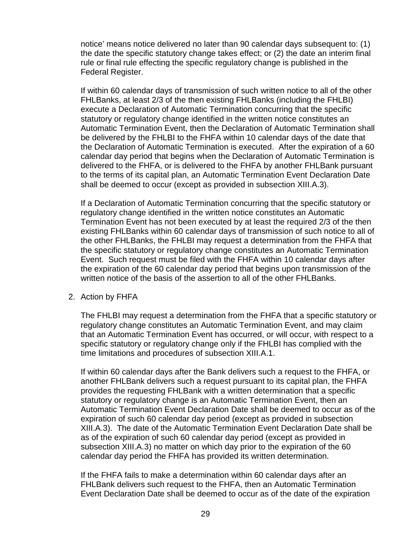notice' means notice delivered no later than 90 calendar days subsequent to: (1) the date the specific statutory change takes effect; or (2) the date an interim final rule or final rule effecting the specific regulatory change is published in the Federal Register.

If within 60 calendar days of transmission of such written notice to all of the other FHLBanks, at least 2/3 of the then existing FHLBanks (including the FHLBI) execute a Declaration of Automatic Termination concurring that the specific statutory or regulatory change identified in the written notice constitutes an Automatic Termination Event, then the Declaration of Automatic Termination shall be delivered by the FHLBI to the FHFA within 10 calendar days of the date that the Declaration of Automatic Termination is executed. After the expiration of a 60 calendar day period that begins when the Declaration of Automatic Termination is delivered to the FHFA, or is delivered to the FHFA by another FHLBank pursuant to the terms of its capital plan, an Automatic Termination Event Declaration Date shall be deemed to occur (except as provided in subsection XIII.A.3).

If a Declaration of Automatic Termination concurring that the specific statutory or regulatory change identified in the written notice constitutes an Automatic Termination Event has not been executed by at least the required 2/3 of the then existing FHLBanks within 60 calendar days of transmission of such notice to all of the other FHLBanks, the FHLBI may request a determination from the FHFA that the specific statutory or regulatory change constitutes an Automatic Termination Event. Such request must be filed with the FHFA within 10 calendar days after the expiration of the 60 calendar day period that begins upon transmission of the written notice of the basis of the assertion to all of the other FHLBanks.

#### 2. Action by FHFA

The FHLBI may request a determination from the FHFA that a specific statutory or regulatory change constitutes an Automatic Termination Event, and may claim that an Automatic Termination Event has occurred, or will occur, with respect to a specific statutory or regulatory change only if the FHLBI has complied with the time limitations and procedures of subsection XIII.A.1.

If within 60 calendar days after the Bank delivers such a request to the FHFA, or another FHLBank delivers such a request pursuant to its capital plan, the FHFA provides the requesting FHLBank with a written determination that a specific statutory or regulatory change is an Automatic Termination Event, then an Automatic Termination Event Declaration Date shall be deemed to occur as of the expiration of such 60 calendar day period (except as provided in subsection XIII.A.3). The date of the Automatic Termination Event Declaration Date shall be as of the expiration of such 60 calendar day period (except as provided in subsection XIII.A.3) no matter on which day prior to the expiration of the 60 calendar day period the FHFA has provided its written determination.

If the FHFA fails to make a determination within 60 calendar days after an FHLBank delivers such request to the FHFA, then an Automatic Termination Event Declaration Date shall be deemed to occur as of the date of the expiration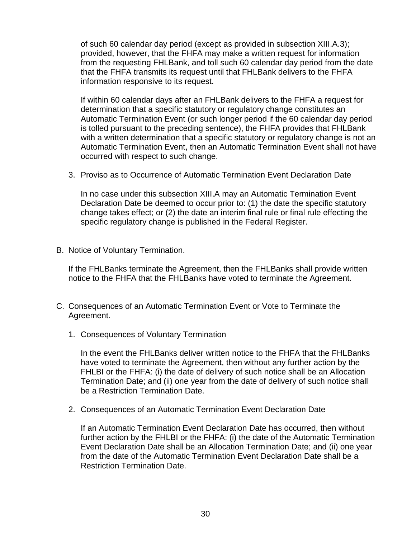of such 60 calendar day period (except as provided in subsection XIII.A.3); provided, however, that the FHFA may make a written request for information from the requesting FHLBank, and toll such 60 calendar day period from the date that the FHFA transmits its request until that FHLBank delivers to the FHFA information responsive to its request.

If within 60 calendar days after an FHLBank delivers to the FHFA a request for determination that a specific statutory or regulatory change constitutes an Automatic Termination Event (or such longer period if the 60 calendar day period is tolled pursuant to the preceding sentence), the FHFA provides that FHLBank with a written determination that a specific statutory or regulatory change is not an Automatic Termination Event, then an Automatic Termination Event shall not have occurred with respect to such change.

3. Proviso as to Occurrence of Automatic Termination Event Declaration Date

In no case under this subsection XIII.A may an Automatic Termination Event Declaration Date be deemed to occur prior to: (1) the date the specific statutory change takes effect; or (2) the date an interim final rule or final rule effecting the specific regulatory change is published in the Federal Register.

B. Notice of Voluntary Termination.

If the FHLBanks terminate the Agreement, then the FHLBanks shall provide written notice to the FHFA that the FHLBanks have voted to terminate the Agreement.

- C. Consequences of an Automatic Termination Event or Vote to Terminate the Agreement.
	- 1. Consequences of Voluntary Termination

In the event the FHLBanks deliver written notice to the FHFA that the FHLBanks have voted to terminate the Agreement, then without any further action by the FHLBI or the FHFA: (i) the date of delivery of such notice shall be an Allocation Termination Date; and (ii) one year from the date of delivery of such notice shall be a Restriction Termination Date.

2. Consequences of an Automatic Termination Event Declaration Date

If an Automatic Termination Event Declaration Date has occurred, then without further action by the FHLBI or the FHFA: (i) the date of the Automatic Termination Event Declaration Date shall be an Allocation Termination Date; and (ii) one year from the date of the Automatic Termination Event Declaration Date shall be a Restriction Termination Date.